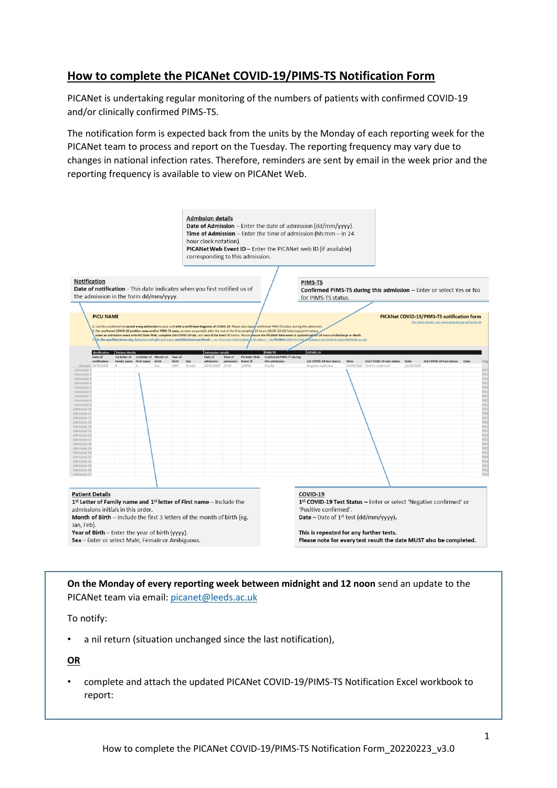# **How to complete the PICANet COVID-19/PIMS-TS Notification Form**

PICANet is undertaking regular monitoring of the numbers of patients with confirmed COVID-19 and/or clinically confirmed PIMS-TS.

The notification form is expected back from the units by the Monday of each reporting week for the PICANet team to process and report on the Tuesday. The reporting frequency may vary due to changes in national infection rates. Therefore, reminders are sent by email in the week prior and the reporting frequency is available to view on PICANet Web.



**On the Monday of every reporting week between midnight and 12 noon** send an update to the PICANet team via email: [picanet@leeds.ac.uk](mailto:picanet@leeds.ac.uk)

To notify:

• a nil return (situation unchanged since the last notification),

**OR** 

• complete and attach the updated PICANet COVID-19/PIMS-TS Notification Excel workbook to report: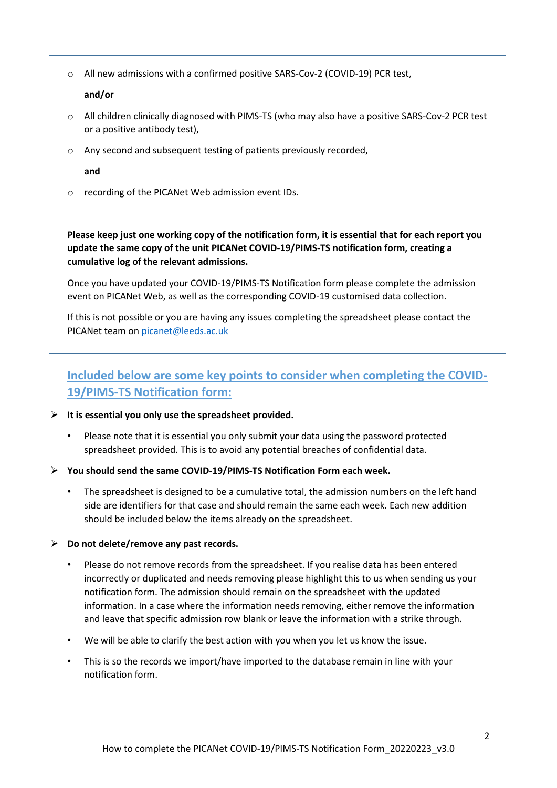o All new admissions with a confirmed positive SARS-Cov-2 (COVID-19) PCR test,

### **and/or**

- o All children clinically diagnosed with PIMS-TS (who may also have a positive SARS-Cov-2 PCR test or a positive antibody test),
- o Any second and subsequent testing of patients previously recorded,

**and**

o recording of the PICANet Web admission event IDs.

**Please keep just one working copy of the notification form, it is essential that for each report you update the same copy of the unit PICANet COVID-19/PIMS-TS notification form, creating a cumulative log of the relevant admissions.**

Once you have updated your COVID-19/PIMS-TS Notification form please complete the admission event on PICANet Web, as well as the corresponding COVID-19 customised data collection.

If this is not possible or you are having any issues completing the spreadsheet please contact the PICANet team on [picanet@leeds.ac.uk](mailto:picanet@leeds.ac.uk)

# **Included below are some key points to consider when completing the COVID-19/PIMS-TS Notification form:**

- **It is essential you only use the spreadsheet provided.**
	- Please note that it is essential you only submit your data using the password protected spreadsheet provided. This is to avoid any potential breaches of confidential data.
- **You should send the same COVID-19/PIMS-TS Notification Form each week.** 
	- The spreadsheet is designed to be a cumulative total, the admission numbers on the left hand side are identifiers for that case and should remain the same each week. Each new addition should be included below the items already on the spreadsheet.

#### **Do not delete/remove any past records.**

- Please do not remove records from the spreadsheet. If you realise data has been entered incorrectly or duplicated and needs removing please highlight this to us when sending us your notification form. The admission should remain on the spreadsheet with the updated information. In a case where the information needs removing, either remove the information and leave that specific admission row blank or leave the information with a strike through.
- We will be able to clarify the best action with you when you let us know the issue.
- This is so the records we import/have imported to the database remain in line with your notification form.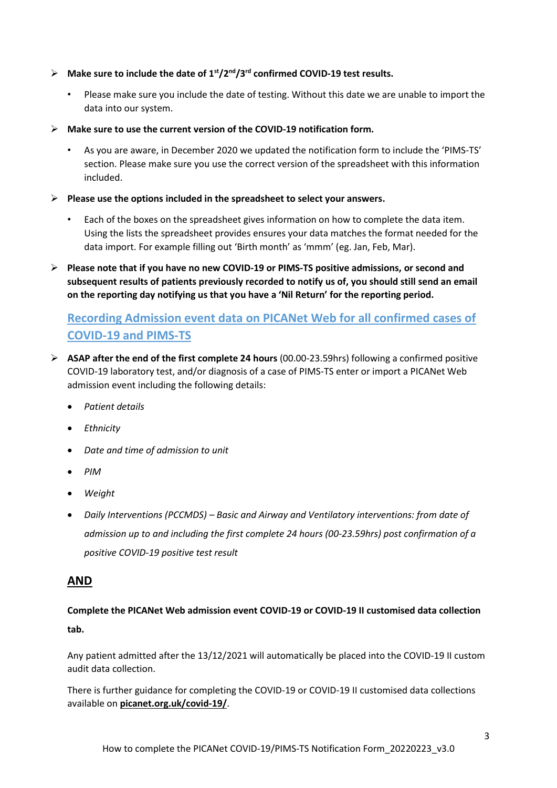- **Make sure to include the date of 1st/2nd/3rd confirmed COVID-19 test results.** 
	- Please make sure you include the date of testing. Without this date we are unable to import the data into our system.
- **Make sure to use the current version of the COVID-19 notification form.** 
	- As you are aware, in December 2020 we updated the notification form to include the 'PIMS-TS' section. Please make sure you use the correct version of the spreadsheet with this information included.
- **Please use the options included in the spreadsheet to select your answers.**
	- Each of the boxes on the spreadsheet gives information on how to complete the data item. Using the lists the spreadsheet provides ensures your data matches the format needed for the data import. For example filling out 'Birth month' as 'mmm' (eg. Jan, Feb, Mar).
- **Please note that if you have no new COVID-19 or PIMS-TS positive admissions, or second and subsequent results of patients previously recorded to notify us of, you should still send an email on the reporting day notifying us that you have a 'Nil Return' for the reporting period.**

# **Recording Admission event data on PICANet Web for all confirmed cases of COVID-19 and PIMS-TS**

- **ASAP after the end of the first complete 24 hours** (00.00-23.59hrs) following a confirmed positive COVID-19 laboratory test, and/or diagnosis of a case of PIMS-TS enter or import a PICANet Web admission event including the following details:
	- *Patient details*
	- *Ethnicity*
	- *Date and time of admission to unit*
	- *PIM*
	- *Weight*
	- *Daily Interventions (PCCMDS) – Basic and Airway and Ventilatory interventions: from date of admission up to and including the first complete 24 hours (00-23.59hrs) post confirmation of a positive COVID-19 positive test result*

## **AND**

**Complete the PICANet Web admission event COVID-19 or COVID-19 II customised data collection tab.**

Any patient admitted after the 13/12/2021 will automatically be placed into the COVID-19 II custom audit data collection.

There is further guidance for completing the COVID-19 or COVID-19 II customised data collections available on **picanet.org.uk/covid-19/**.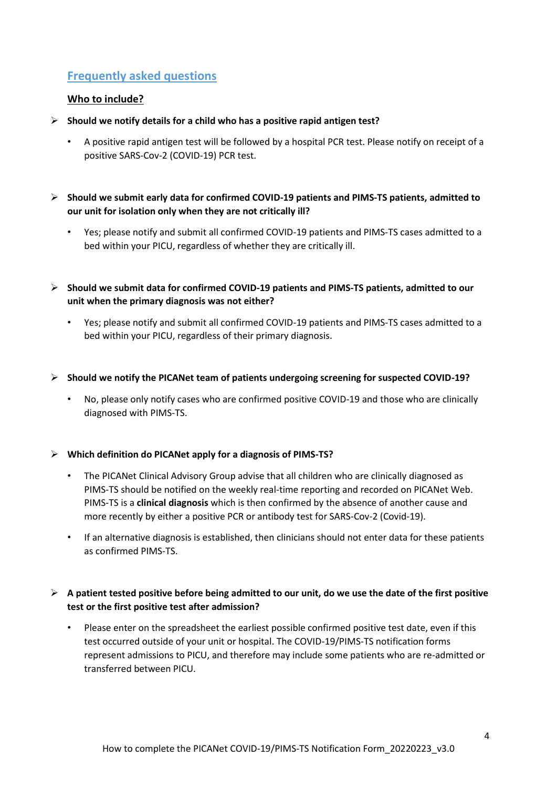# **Frequently asked questions**

# **Who to include?**

- **Should we notify details for a child who has a positive rapid antigen test?**
	- A positive rapid antigen test will be followed by a hospital PCR test. Please notify on receipt of a positive SARS-Cov-2 (COVID-19) PCR test.
- **Should we submit early data for confirmed COVID-19 patients and PIMS-TS patients, admitted to our unit for isolation only when they are not critically ill?**
	- Yes; please notify and submit all confirmed COVID-19 patients and PIMS-TS cases admitted to a bed within your PICU, regardless of whether they are critically ill.
- **Should we submit data for confirmed COVID-19 patients and PIMS-TS patients, admitted to our unit when the primary diagnosis was not either?**
	- Yes; please notify and submit all confirmed COVID-19 patients and PIMS-TS cases admitted to a bed within your PICU, regardless of their primary diagnosis.
- **Should we notify the PICANet team of patients undergoing screening for suspected COVID-19?**
	- No, please only notify cases who are confirmed positive COVID-19 and those who are clinically diagnosed with PIMS-TS.

## **Which definition do PICANet apply for a diagnosis of PIMS-TS?**

- The PICANet Clinical Advisory Group advise that all children who are clinically diagnosed as PIMS-TS should be notified on the weekly real-time reporting and recorded on PICANet Web. PIMS-TS is a **clinical diagnosis** which is then confirmed by the absence of another cause and more recently by either a positive PCR or antibody test for SARS-Cov-2 (Covid-19).
- If an alternative diagnosis is established, then clinicians should not enter data for these patients as confirmed PIMS-TS.

# **A patient tested positive before being admitted to our unit, do we use the date of the first positive test or the first positive test after admission?**

Please enter on the spreadsheet the earliest possible confirmed positive test date, even if this test occurred outside of your unit or hospital. The COVID-19/PIMS-TS notification forms represent admissions to PICU, and therefore may include some patients who are re-admitted or transferred between PICU.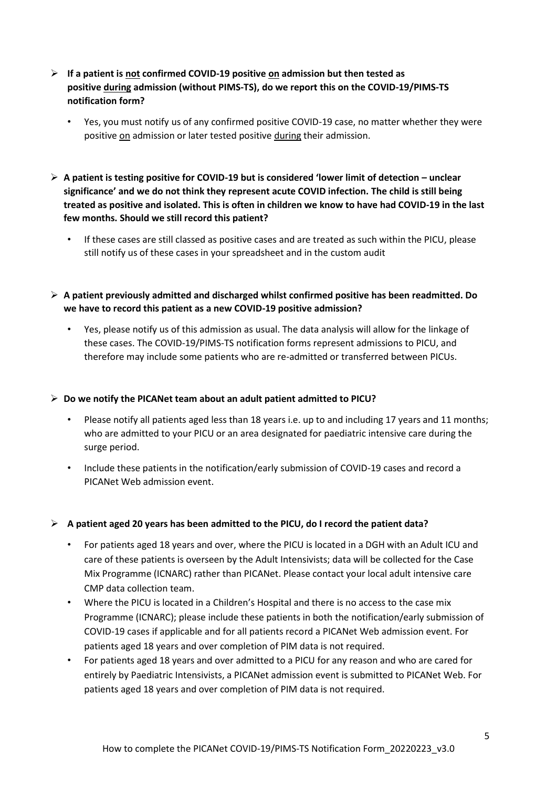- **If a patient is not confirmed COVID-19 positive on admission but then tested as positive during admission (without PIMS-TS), do we report this on the COVID-19/PIMS-TS notification form?**
	- Yes, you must notify us of any confirmed positive COVID-19 case, no matter whether they were positive on admission or later tested positive during their admission.
- **A patient is testing positive for COVID-19 but is considered 'lower limit of detection – unclear significance' and we do not think they represent acute COVID infection. The child is still being treated as positive and isolated. This is often in children we know to have had COVID-19 in the last few months. Should we still record this patient?** 
	- If these cases are still classed as positive cases and are treated as such within the PICU, please still notify us of these cases in your spreadsheet and in the custom audit
- **A patient previously admitted and discharged whilst confirmed positive has been readmitted. Do we have to record this patient as a new COVID-19 positive admission?** 
	- Yes, please notify us of this admission as usual. The data analysis will allow for the linkage of these cases. The COVID-19/PIMS-TS notification forms represent admissions to PICU, and therefore may include some patients who are re-admitted or transferred between PICUs.

### **Do we notify the PICANet team about an adult patient admitted to PICU?**

- Please notify all patients aged less than 18 years i.e. up to and including 17 years and 11 months; who are admitted to your PICU or an area designated for paediatric intensive care during the surge period.
- Include these patients in the notification/early submission of COVID-19 cases and record a PICANet Web admission event.

#### **A patient aged 20 years has been admitted to the PICU, do I record the patient data?**

- For patients aged 18 years and over, where the PICU is located in a DGH with an Adult ICU and care of these patients is overseen by the Adult Intensivists; data will be collected for the Case Mix Programme (ICNARC) rather than PICANet. Please contact your local adult intensive care CMP data collection team.
- Where the PICU is located in a Children's Hospital and there is no access to the case mix Programme (ICNARC); please include these patients in both the notification/early submission of COVID-19 cases if applicable and for all patients record a PICANet Web admission event. For patients aged 18 years and over completion of PIM data is not required.
- For patients aged 18 years and over admitted to a PICU for any reason and who are cared for entirely by Paediatric Intensivists, a PICANet admission event is submitted to PICANet Web. For patients aged 18 years and over completion of PIM data is not required.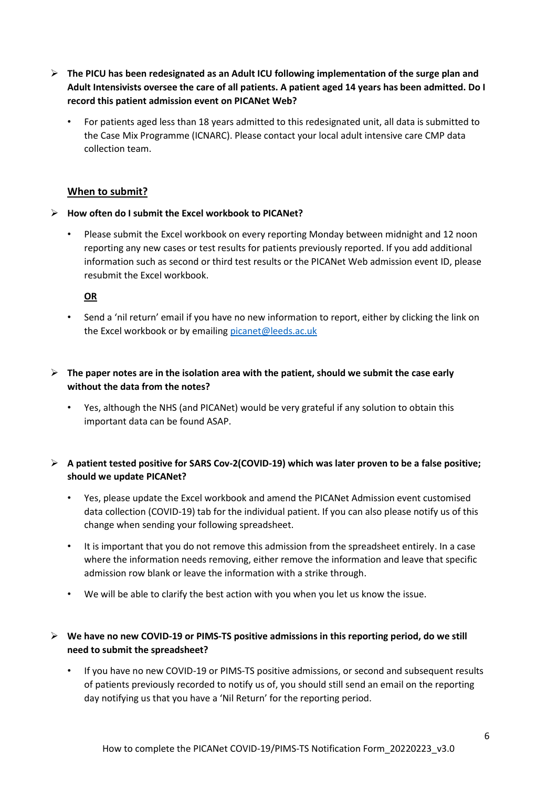- **The PICU has been redesignated as an Adult ICU following implementation of the surge plan and Adult Intensivists oversee the care of all patients. A patient aged 14 years has been admitted. Do I record this patient admission event on PICANet Web?**
	- For patients aged less than 18 years admitted to this redesignated unit, all data is submitted to the Case Mix Programme (ICNARC). Please contact your local adult intensive care CMP data collection team.

## **When to submit?**

### **How often do I submit the Excel workbook to PICANet?**

• Please submit the Excel workbook on every reporting Monday between midnight and 12 noon reporting any new cases or test results for patients previously reported. If you add additional information such as second or third test results or the PICANet Web admission event ID, please resubmit the Excel workbook.

### **OR**

- Send a 'nil return' email if you have no new information to report, either by clicking the link on the Excel workbook or by emailing [picanet@leeds.ac.uk](mailto:picanet@leeds.ac.uk)
- $\triangleright$  The paper notes are in the isolation area with the patient, should we submit the case early **without the data from the notes?** 
	- Yes, although the NHS (and PICANet) would be very grateful if any solution to obtain this important data can be found ASAP.

## **A patient tested positive for SARS Cov-2(COVID-19) which was later proven to be a false positive; should we update PICANet?**

- Yes, please update the Excel workbook and amend the PICANet Admission event customised data collection (COVID-19) tab for the individual patient. If you can also please notify us of this change when sending your following spreadsheet.
- It is important that you do not remove this admission from the spreadsheet entirely. In a case where the information needs removing, either remove the information and leave that specific admission row blank or leave the information with a strike through.
- We will be able to clarify the best action with you when you let us know the issue.

## **We have no new COVID-19 or PIMS-TS positive admissions in this reporting period, do we still need to submit the spreadsheet?**

• If you have no new COVID-19 or PIMS-TS positive admissions, or second and subsequent results of patients previously recorded to notify us of, you should still send an email on the reporting day notifying us that you have a 'Nil Return' for the reporting period.